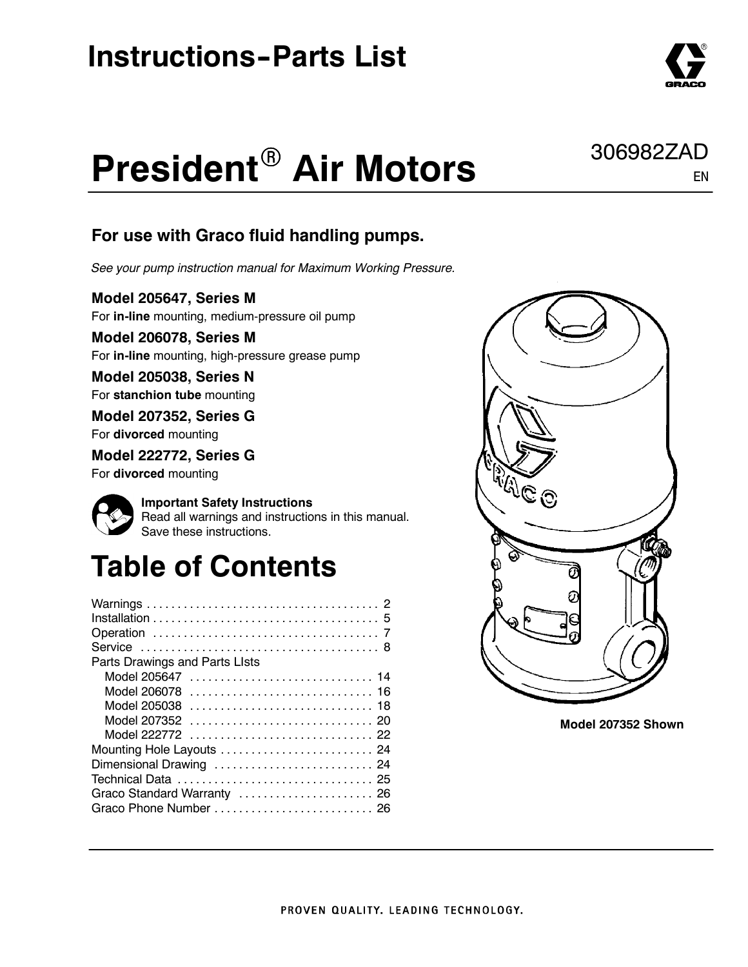### **Instructions-Parts List**

# **President® Air Motors**

#### For use with Graco fluid handling pumps.

See your pump instruction manual for Maximum Working Pressure.

Model 205647, Series M

For in-line mounting, medium-pressure oil pump

Model 206078, Series M For in-line mounting, high-pressure grease pump

Model 205038, Series N For stanchion tube mounting

Model 207352, Series G For divorced mounting

Model 222772, Series G For divorced mounting



Important Safety Instructions Read all warnings and instructions in this manual. Save these instructions.

## Table of Contents

| Parts Drawings and Parts LIsts |
|--------------------------------|
| Model 205647  14               |
|                                |
| Model 205038  18               |
|                                |
|                                |
| Mounting Hole Layouts  24      |
| Dimensional Drawing  24        |
|                                |
| Graco Standard Warranty  26    |
|                                |
|                                |



Model 207352 Shown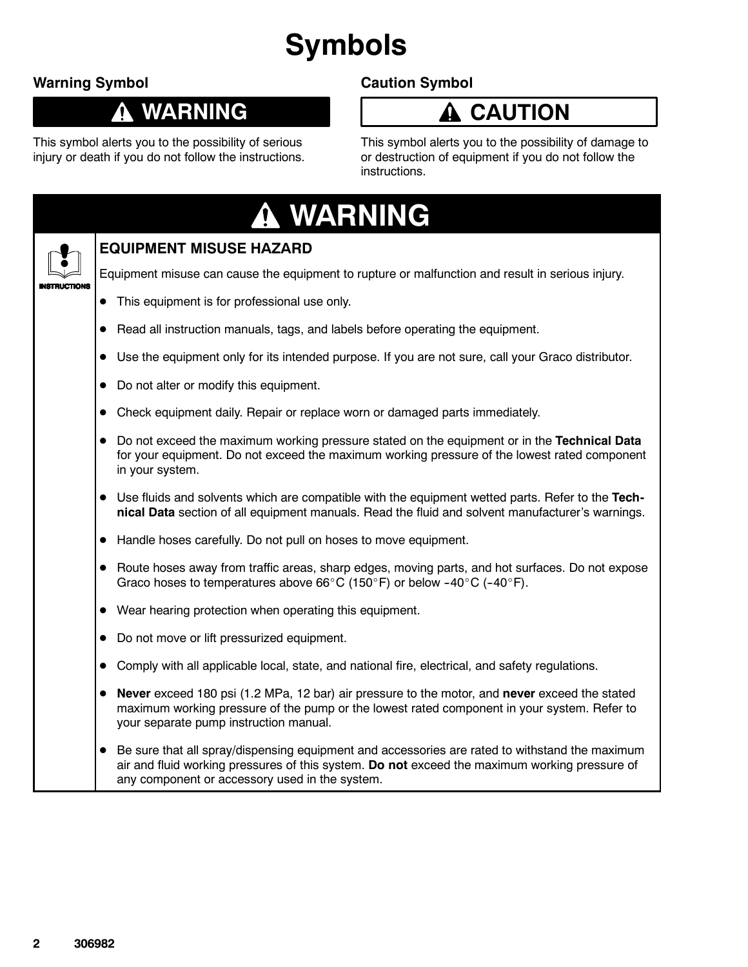## Symbols

#### Warning Symbol

0

### WARNING

This symbol alerts you to the possibility of serious injury or death if you do not follow the instructions.

#### Caution Symbol

### **A** CAUTION

This symbol alerts you to the possibility of damage to or destruction of equipment if you do not follow the instructions.

|               | A WARNING                                                                                                                                                                                                                                         |
|---------------|---------------------------------------------------------------------------------------------------------------------------------------------------------------------------------------------------------------------------------------------------|
|               | <b>EQUIPMENT MISUSE HAZARD</b>                                                                                                                                                                                                                    |
| <b>CTIONS</b> | Equipment misuse can cause the equipment to rupture or malfunction and result in serious injury.                                                                                                                                                  |
|               | This equipment is for professional use only.                                                                                                                                                                                                      |
| $\bullet$     | Read all instruction manuals, tags, and labels before operating the equipment.                                                                                                                                                                    |
|               | Use the equipment only for its intended purpose. If you are not sure, call your Graco distributor.                                                                                                                                                |
|               | Do not alter or modify this equipment.                                                                                                                                                                                                            |
|               | Check equipment daily. Repair or replace worn or damaged parts immediately.                                                                                                                                                                       |
|               | Do not exceed the maximum working pressure stated on the equipment or in the Technical Data<br>for your equipment. Do not exceed the maximum working pressure of the lowest rated component<br>in your system.                                    |
|               | Use fluids and solvents which are compatible with the equipment wetted parts. Refer to the Tech-<br>nical Data section of all equipment manuals. Read the fluid and solvent manufacturer's warnings.                                              |
|               | • Handle hoses carefully. Do not pull on hoses to move equipment.                                                                                                                                                                                 |
|               | Route hoses away from traffic areas, sharp edges, moving parts, and hot surfaces. Do not expose<br>Graco hoses to temperatures above 66°C (150°F) or below -40°C (-40°F).                                                                         |
|               | Wear hearing protection when operating this equipment.                                                                                                                                                                                            |
| $\bullet$     | Do not move or lift pressurized equipment.                                                                                                                                                                                                        |
|               | Comply with all applicable local, state, and national fire, electrical, and safety regulations.                                                                                                                                                   |
|               | Never exceed 180 psi (1.2 MPa, 12 bar) air pressure to the motor, and never exceed the stated<br>maximum working pressure of the pump or the lowest rated component in your system. Refer to<br>your separate pump instruction manual.            |
| $\bullet$     | Be sure that all spray/dispensing equipment and accessories are rated to withstand the maximum<br>air and fluid working pressures of this system. Do not exceed the maximum working pressure of<br>any component or accessory used in the system. |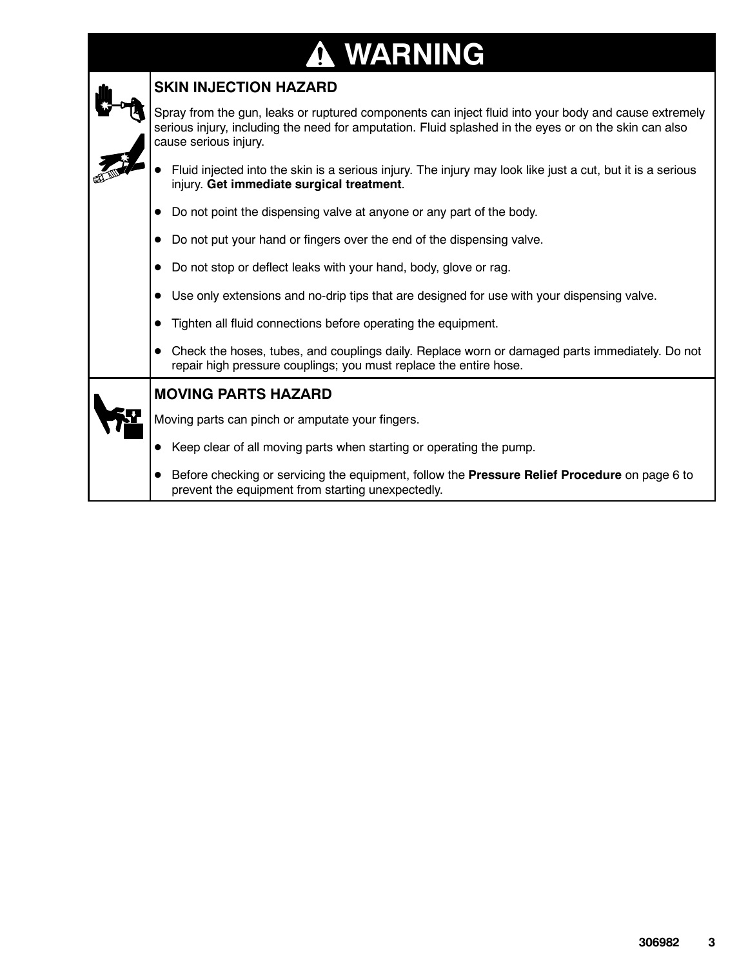## **A WARNING**

| <b>SKIN INJECTION HAZARD</b>                                                                                                                                                                                                           |  |  |  |  |  |  |  |
|----------------------------------------------------------------------------------------------------------------------------------------------------------------------------------------------------------------------------------------|--|--|--|--|--|--|--|
| Spray from the gun, leaks or ruptured components can inject fluid into your body and cause extremely<br>serious injury, including the need for amputation. Fluid splashed in the eyes or on the skin can also<br>cause serious injury. |  |  |  |  |  |  |  |
| Fluid injected into the skin is a serious injury. The injury may look like just a cut, but it is a serious<br>injury. Get immediate surgical treatment.                                                                                |  |  |  |  |  |  |  |
| Do not point the dispensing valve at anyone or any part of the body.                                                                                                                                                                   |  |  |  |  |  |  |  |
| Do not put your hand or fingers over the end of the dispensing valve.                                                                                                                                                                  |  |  |  |  |  |  |  |
| Do not stop or deflect leaks with your hand, body, glove or rag.                                                                                                                                                                       |  |  |  |  |  |  |  |
| Use only extensions and no-drip tips that are designed for use with your dispensing valve.                                                                                                                                             |  |  |  |  |  |  |  |
| Tighten all fluid connections before operating the equipment.                                                                                                                                                                          |  |  |  |  |  |  |  |
| Check the hoses, tubes, and couplings daily. Replace worn or damaged parts immediately. Do not<br>repair high pressure couplings; you must replace the entire hose.                                                                    |  |  |  |  |  |  |  |
| <b>MOVING PARTS HAZARD</b>                                                                                                                                                                                                             |  |  |  |  |  |  |  |
| Moving parts can pinch or amputate your fingers.                                                                                                                                                                                       |  |  |  |  |  |  |  |
| Keep clear of all moving parts when starting or operating the pump.                                                                                                                                                                    |  |  |  |  |  |  |  |
| Before checking or servicing the equipment, follow the Pressure Relief Procedure on page 6 to<br>prevent the equipment from starting unexpectedly.                                                                                     |  |  |  |  |  |  |  |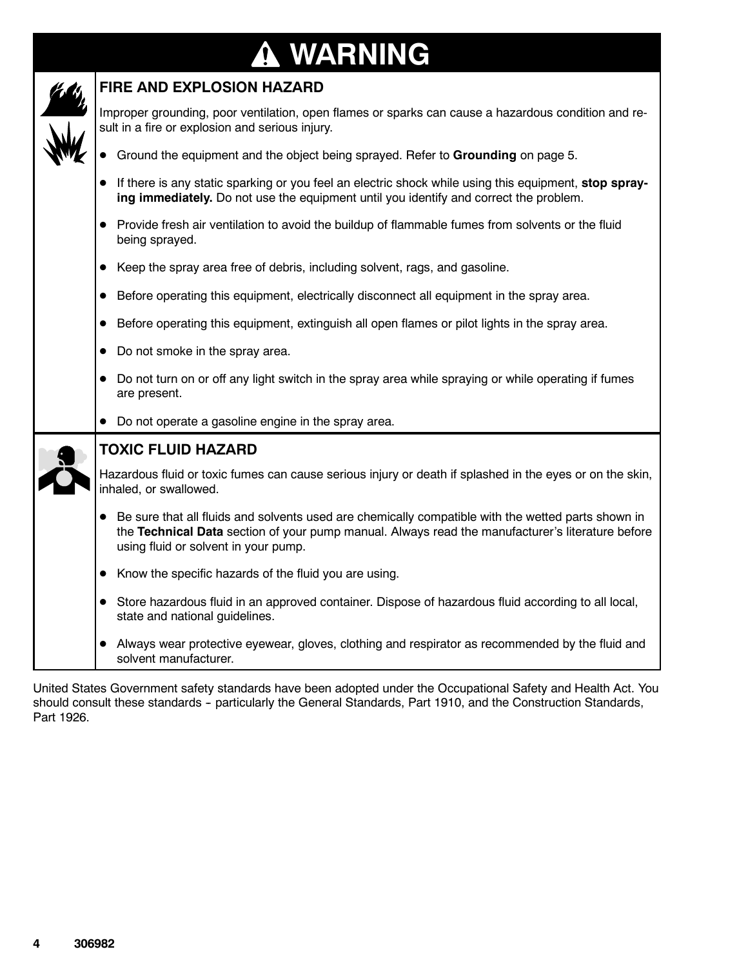## **A WARNING**

 $\mathscr{L}$  FIRE AND EXPLOSION HAZARD

| $\mathbf{z}_i$ | Improper grounding, poor ventilation, open flames or sparks can cause a hazardous condition and re-<br>sult in a fire or explosion and serious injury.<br>Ground the equipment and the object being sprayed. Refer to Grounding on page 5.<br>If there is any static sparking or you feel an electric shock while using this equipment, stop spray-<br>ing immediately. Do not use the equipment until you identify and correct the problem. |
|----------------|----------------------------------------------------------------------------------------------------------------------------------------------------------------------------------------------------------------------------------------------------------------------------------------------------------------------------------------------------------------------------------------------------------------------------------------------|
|                | • Provide fresh air ventilation to avoid the buildup of flammable fumes from solvents or the fluid<br>being sprayed.                                                                                                                                                                                                                                                                                                                         |
|                | Keep the spray area free of debris, including solvent, rags, and gasoline.                                                                                                                                                                                                                                                                                                                                                                   |
|                | Before operating this equipment, electrically disconnect all equipment in the spray area.                                                                                                                                                                                                                                                                                                                                                    |
|                | Before operating this equipment, extinguish all open flames or pilot lights in the spray area.                                                                                                                                                                                                                                                                                                                                               |
|                | Do not smoke in the spray area.                                                                                                                                                                                                                                                                                                                                                                                                              |
|                | Do not turn on or off any light switch in the spray area while spraying or while operating if fumes<br>are present.                                                                                                                                                                                                                                                                                                                          |
|                | Do not operate a gasoline engine in the spray area.                                                                                                                                                                                                                                                                                                                                                                                          |
|                | <b>TOXIC FLUID HAZARD</b>                                                                                                                                                                                                                                                                                                                                                                                                                    |
|                | Hazardous fluid or toxic fumes can cause serious injury or death if splashed in the eyes or on the skin,<br>inhaled, or swallowed.                                                                                                                                                                                                                                                                                                           |
|                | • Be sure that all fluids and solvents used are chemically compatible with the wetted parts shown in<br>the Technical Data section of your pump manual. Always read the manufacturer's literature before<br>using fluid or solvent in your pump.                                                                                                                                                                                             |
|                | Know the specific hazards of the fluid you are using.                                                                                                                                                                                                                                                                                                                                                                                        |
|                | • Store hazardous fluid in an approved container. Dispose of hazardous fluid according to all local,<br>state and national guidelines.                                                                                                                                                                                                                                                                                                       |
|                | Always wear protective eyewear, gloves, clothing and respirator as recommended by the fluid and<br>solvent manufacturer.                                                                                                                                                                                                                                                                                                                     |
|                |                                                                                                                                                                                                                                                                                                                                                                                                                                              |

United States Government safety standards have been adopted under the Occupational Safety and Health Act. You should consult these standards - particularly the General Standards, Part 1910, and the Construction Standards, Part 1926.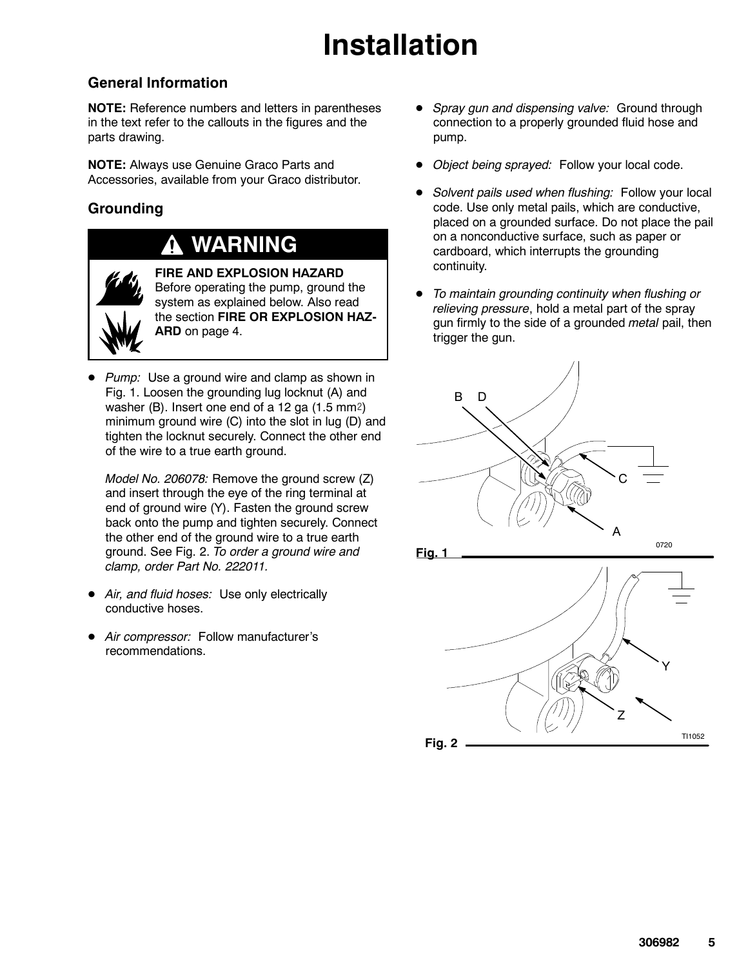## Installation

#### General Information

NOTE: Reference numbers and letters in parentheses in the text refer to the callouts in the figures and the parts drawing.

NOTE: Always use Genuine Graco Parts and Accessories, available from your Graco distributor.

#### **Grounding**

### WARNING



FIRE AND EXPLOSION HAZARD Before operating the pump, ground the system as explained below. Also read the section FIRE OR EXPLOSION HAZ-ARD on page 4.

 $\bullet$  Pump: Use a ground wire and clamp as shown in Fig. 1. Loosen the grounding lug locknut (A) and washer (B). Insert one end of a 12 ga  $(1.5 \text{ mm2})$ minimum ground wire (C) into the slot in lug (D) and tighten the locknut securely. Connect the other end of the wire to a true earth ground.

Model No. 206078: Remove the ground screw (Z) and insert through the eye of the ring terminal at end of ground wire (Y). Fasten the ground screw back onto the pump and tighten securely. Connect the other end of the ground wire to a true earth ground. See Fig. 2. To order a ground wire and clamp, order Part No. 222011.

- Air, and fluid hoses: Use only electrically conductive hoses.
- $\bullet$ Air compressor: Follow manufacturer's recommendations.
- $\bullet$  Spray gun and dispensing valve: Ground through connection to a properly grounded fluid hose and pump.
- $\bullet$ Object being sprayed: Follow your local code.
- $\bullet$  Solvent pails used when flushing: Follow your local code. Use only metal pails, which are conductive, placed on a grounded surface. Do not place the pail on a nonconductive surface, such as paper or cardboard, which interrupts the grounding continuity.
- $\bullet$  To maintain grounding continuity when flushing or relieving pressure, hold a metal part of the spray gun firmly to the side of a grounded metal pail, then trigger the gun.



Fig. 2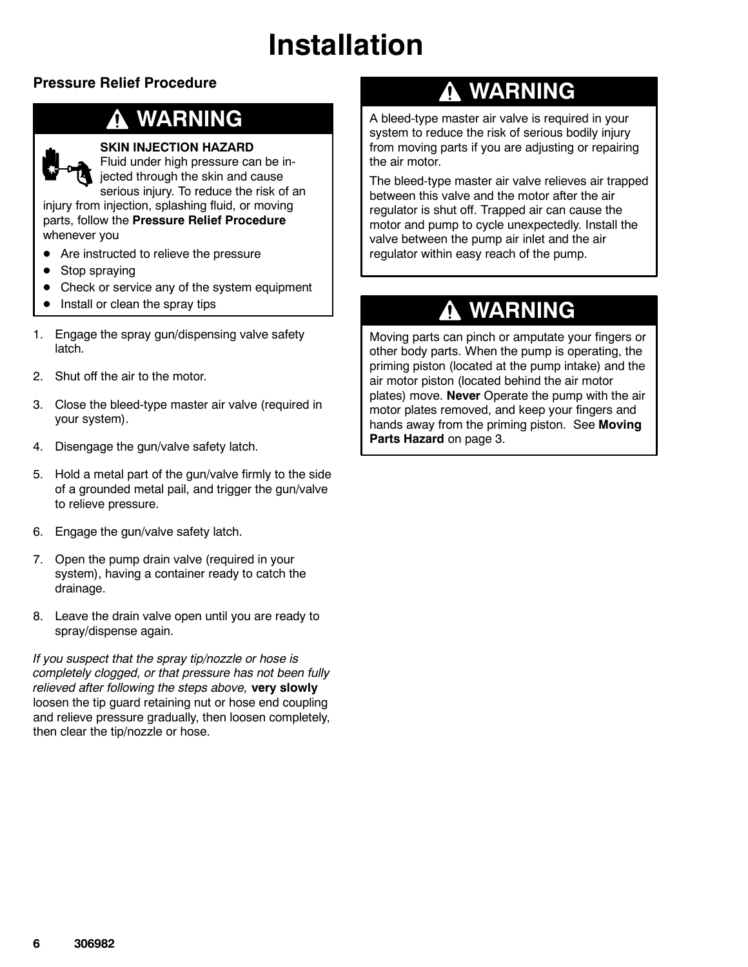## Installation

#### Pressure Relief Procedure

### WARNING



#### SKIN INJECTION HAZARD

Fluid under high pressure can be injected through the skin and cause serious injury. To reduce the risk of an injury from injection, splashing fluid, or moving

parts, follow the Pressure Relief Procedure whenever you

- Are instructed to relieve the pressure
- $\bullet$ Stop spraying
- $\bullet$ Check or service any of the system equipment
- $\bullet$ Install or clean the spray tips
- 1. Engage the spray gun/dispensing valve safety latch.
- 2. Shut off the air to the motor.
- 3. Close the bleed-type master air valve (required in your system).
- 4. Disengage the gun/valve safety latch.
- 5. Hold a metal part of the gun/valve firmly to the side of a grounded metal pail, and trigger the gun/valve to relieve pressure.
- 6. Engage the gun/valve safety latch.
- 7. Open the pump drain valve (required in your system), having a container ready to catch the drainage.
- 8. Leave the drain valve open until you are ready to spray/dispense again.

If you suspect that the spray tip/nozzle or hose is completely clogged, or that pressure has not been fully relieved after following the steps above, very slowly loosen the tip guard retaining nut or hose end coupling and relieve pressure gradually, then loosen completely, then clear the tip/nozzle or hose.

### **A WARNING**

A bleed-type master air valve is required in your system to reduce the risk of serious bodily injury from moving parts if you are adjusting or repairing the air motor.

The bleed-type master air valve relieves air trapped between this valve and the motor after the air regulator is shut off. Trapped air can cause the motor and pump to cycle unexpectedly. Install the valve between the pump air inlet and the air regulator within easy reach of the pump.

### **A WARNING**

Moving parts can pinch or amputate your fingers or other body parts. When the pump is operating, the priming piston (located at the pump intake) and the air motor piston (located behind the air motor plates) move. Never Operate the pump with the air motor plates removed, and keep your fingers and hands away from the priming piston. See Moving Parts Hazard on page 3.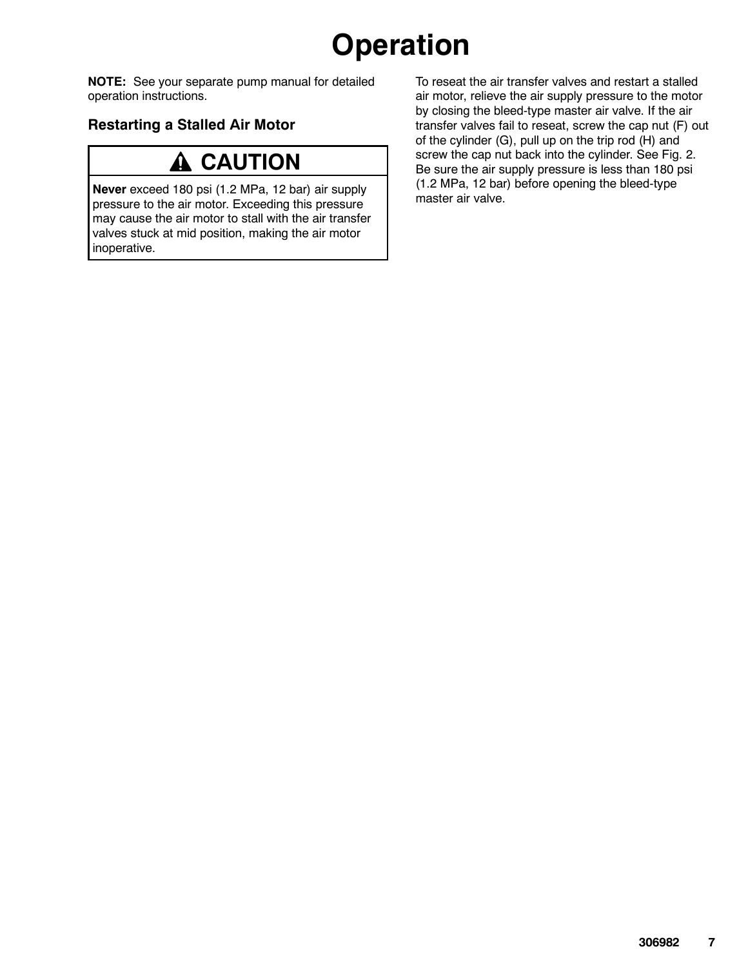## **Operation**

NOTE: See your separate pump manual for detailed operation instructions.

#### Restarting a Stalled Air Motor

### **A CAUTION**

Never exceed 180 psi (1.2 MPa, 12 bar) air supply pressure to the air motor. Exceeding this pressure may cause the air motor to stall with the air transfer valves stuck at mid position, making the air motor inoperative.

To reseat the air transfer valves and restart a stalled air motor, relieve the air supply pressure to the motor by closing the bleed-type master air valve. If the air transfer valves fail to reseat, screw the cap nut (F) out of the cylinder (G), pull up on the trip rod (H) and screw the cap nut back into the cylinder. See Fig. 2. Be sure the air supply pressure is less than 180 psi (1.2 MPa, 12 bar) before opening the bleed-type master air valve.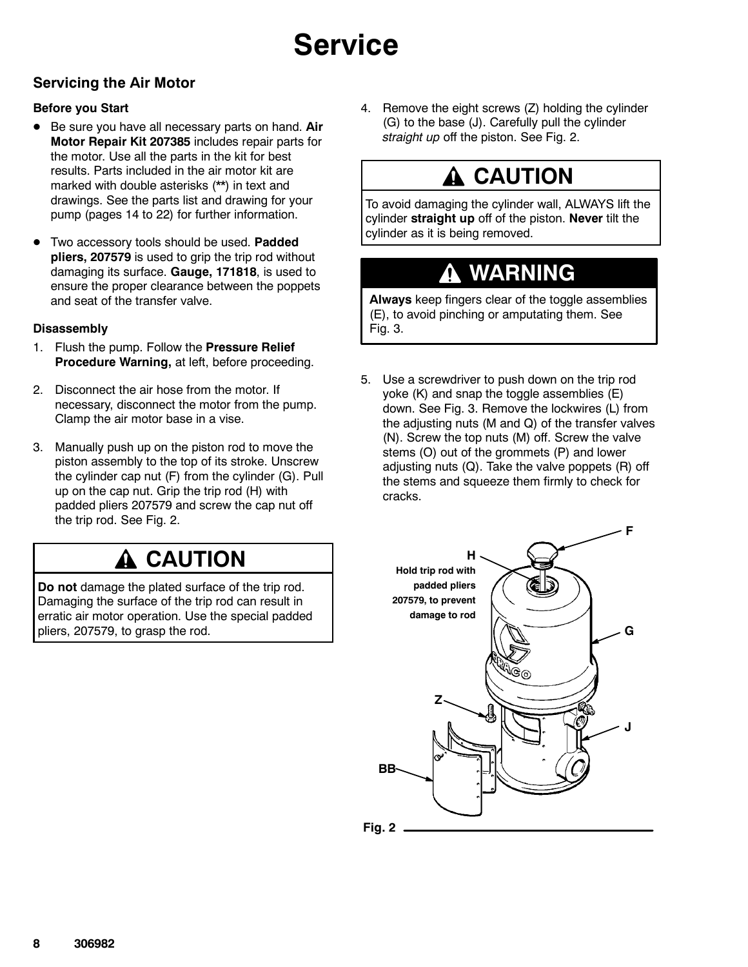#### Servicing the Air Motor

#### Before you Start

- $\bullet$  Be sure you have all necessary parts on hand. Air Motor Repair Kit 207385 includes repair parts for the motor. Use all the parts in the kit for best results. Parts included in the air motor kit are marked with double asterisks (\*\*) in text and drawings. See the parts list and drawing for your pump (pages 14 to 22) for further information.
- $\bullet$ Two accessory tools should be used. Padded pliers, 207579 is used to grip the trip rod without damaging its surface. Gauge, 171818, is used to ensure the proper clearance between the poppets and seat of the transfer valve.

#### **Disassembly**

- 1. Flush the pump. Follow the Pressure Relief Procedure Warning, at left, before proceeding.
- 2. Disconnect the air hose from the motor. If necessary, disconnect the motor from the pump. Clamp the air motor base in a vise.
- 3. Manually push up on the piston rod to move the piston assembly to the top of its stroke. Unscrew the cylinder cap nut (F) from the cylinder (G). Pull up on the cap nut. Grip the trip rod (H) with padded pliers 207579 and screw the cap nut off the trip rod. See Fig. 2.

### **CAUTION**

Do not damage the plated surface of the trip rod. Damaging the surface of the trip rod can result in erratic air motor operation. Use the special padded pliers, 207579, to grasp the rod.

4. Remove the eight screws (Z) holding the cylinder (G) to the base (J). Carefully pull the cylinder straight up off the piston. See Fig. 2.

### **A CAUTION**

To avoid damaging the cylinder wall, ALWAYS lift the cylinder straight up off of the piston. Never tilt the cylinder as it is being removed.

### WARNING

Always keep fingers clear of the toggle assemblies (E), to avoid pinching or amputating them. See Fig. 3.

5. Use a screwdriver to push down on the trip rod yoke (K) and snap the toggle assemblies (E) down. See Fig. 3. Remove the lockwires (L) from the adjusting nuts (M and Q) of the transfer valves (N). Screw the top nuts (M) off. Screw the valve stems (O) out of the grommets (P) and lower adjusting nuts (Q). Take the valve poppets (R) off the stems and squeeze them firmly to check for cracks.

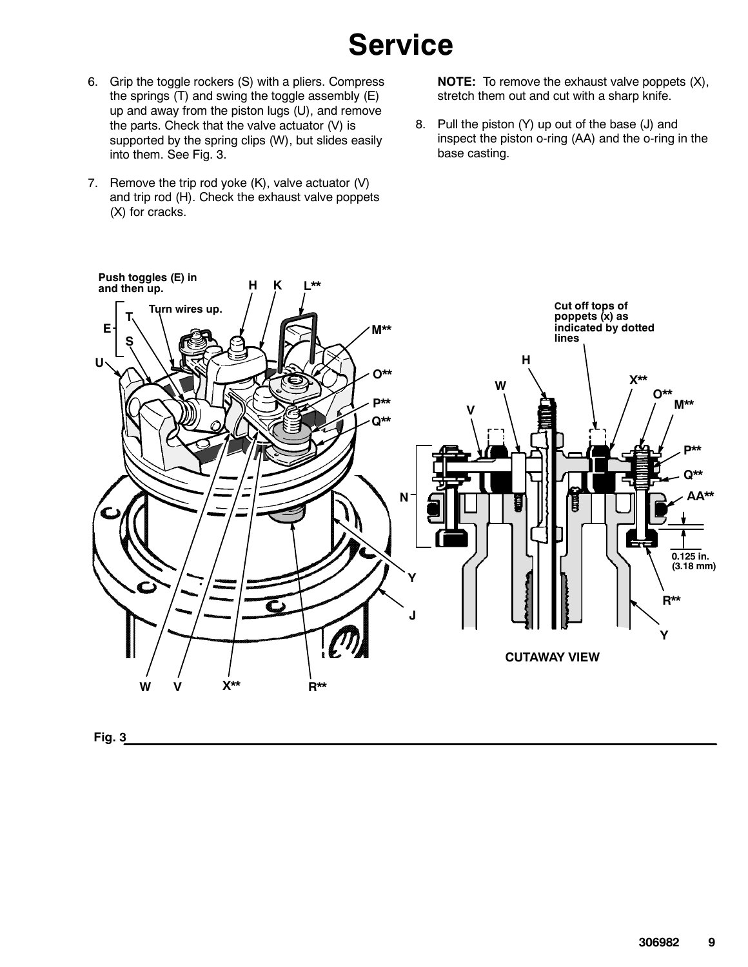- 6. Grip the toggle rockers (S) with a pliers. Compress the springs (T) and swing the toggle assembly (E) up and away from the piston lugs (U), and remove the parts. Check that the valve actuator (V) is supported by the spring clips (W), but slides easily into them. See Fig. 3.
- 7. Remove the trip rod yoke  $(K)$ , valve actuator  $(V)$ and trip rod (H). Check the exhaust valve poppets (X) for cracks.

NOTE: To remove the exhaust valve poppets (X), stretch them out and cut with a sharp knife.

8. Pull the piston (Y) up out of the base (J) and inspect the piston o-ring (AA) and the o-ring in the base casting.



Fig. 3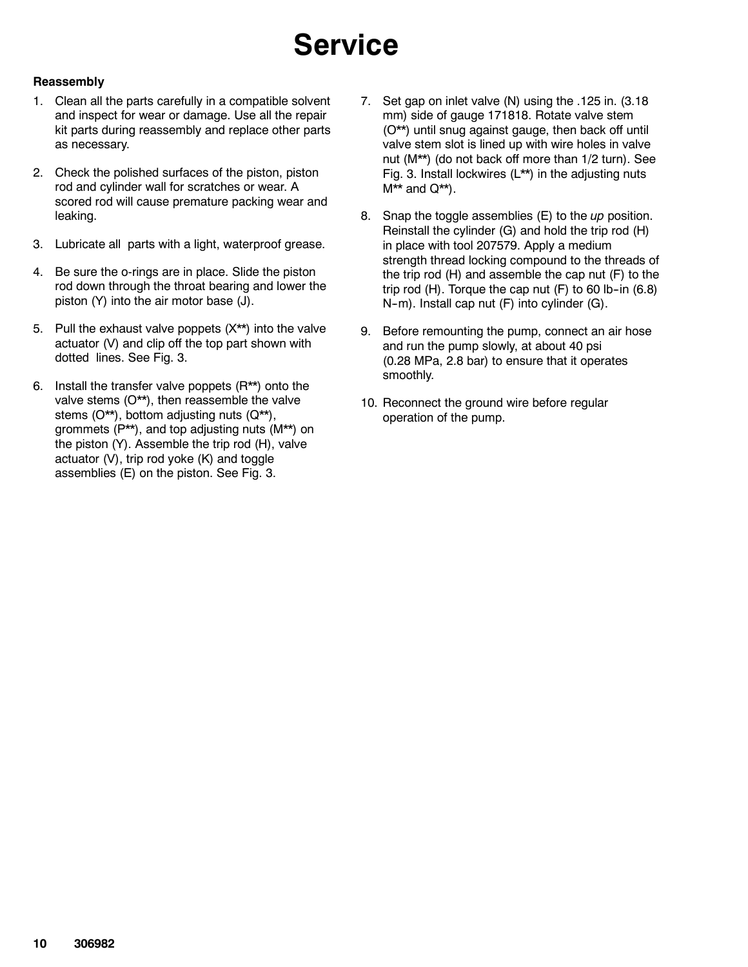#### **Reassembly**

- 1. Clean all the parts carefully in a compatible solvent and inspect for wear or damage. Use all the repair kit parts during reassembly and replace other parts as necessary.
- 2. Check the polished surfaces of the piston, piston rod and cylinder wall for scratches or wear. A scored rod will cause premature packing wear and leaking.
- 3. Lubricate all parts with a light, waterproof grease.
- 4. Be sure the o-rings are in place. Slide the piston rod down through the throat bearing and lower the piston (Y) into the air motor base (J).
- 5. Pull the exhaust valve poppets (X\*\*) into the valve actuator (V) and clip off the top part shown with dotted lines. See Fig. 3.
- 6. Install the transfer valve poppets (R\*\*) onto the valve stems (O\*\*), then reassemble the valve stems (O\*\*), bottom adjusting nuts (Q\*\*), grommets (P\*\*), and top adjusting nuts (M\*\*) on the piston (Y). Assemble the trip rod (H), valve actuator (V), trip rod yoke (K) and toggle assemblies (E) on the piston. See Fig. 3.
- 7. Set gap on inlet valve (N) using the .125 in. (3.18 mm) side of gauge 171818. Rotate valve stem (O\*\*) until snug against gauge, then back off until valve stem slot is lined up with wire holes in valve nut (M\*\*) (do not back off more than 1/2 turn). See Fig. 3. Install lockwires (L\*\*) in the adjusting nuts  $M^{\star\star}$  and  $Q^{\star\star}$ ).
- 8. Snap the toggle assemblies  $(E)$  to the up position. Reinstall the cylinder (G) and hold the trip rod (H) in place with tool 207579. Apply a medium strength thread locking compound to the threads of the trip rod (H) and assemble the cap nut (F) to the trip rod  $(H)$ . Torque the cap nut  $(F)$  to 60 lb-in  $(6.8)$ N-m). Install cap nut (F) into cylinder (G).
- 9. Before remounting the pump, connect an air hose and run the pump slowly, at about 40 psi (0.28 MPa, 2.8 bar) to ensure that it operates smoothly.
- 10. Reconnect the ground wire before regular operation of the pump.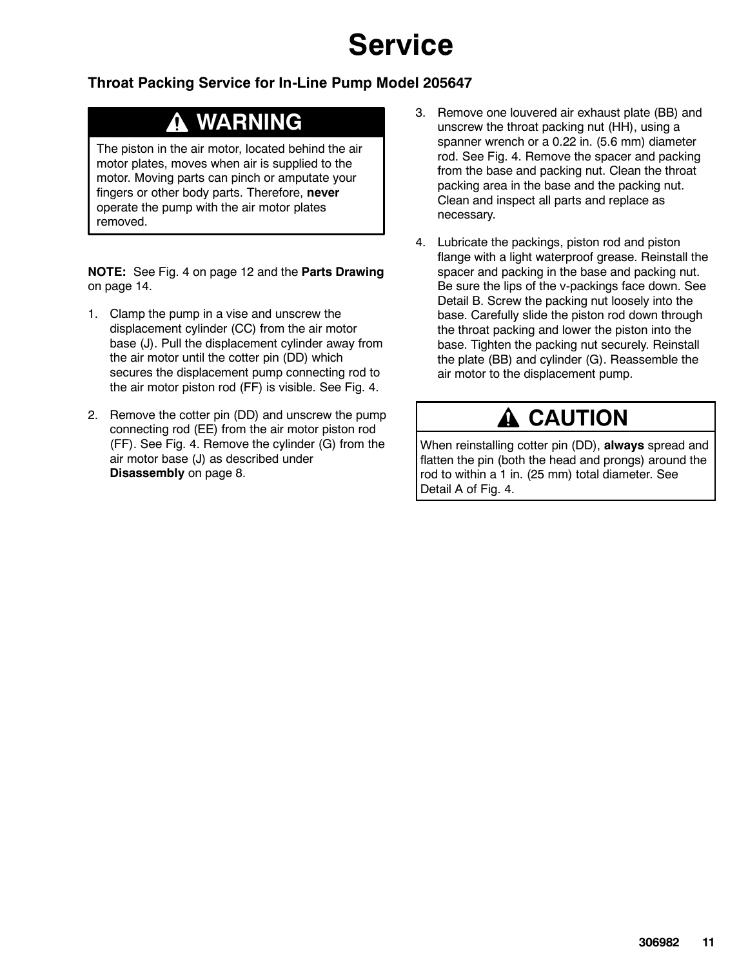#### Throat Packing Service for In-Line Pump Model 205647

### WARNING

The piston in the air motor, located behind the air motor plates, moves when air is supplied to the motor. Moving parts can pinch or amputate your fingers or other body parts. Therefore, never operate the pump with the air motor plates removed.

NOTE: See Fig. 4 on page 12 and the Parts Drawing on page 14.

- 1. Clamp the pump in a vise and unscrew the displacement cylinder (CC) from the air motor base (J). Pull the displacement cylinder away from the air motor until the cotter pin (DD) which secures the displacement pump connecting rod to the air motor piston rod (FF) is visible. See Fig. 4.
- 2. Remove the cotter pin (DD) and unscrew the pump connecting rod (EE) from the air motor piston rod (FF). See Fig. 4. Remove the cylinder (G) from the air motor base (J) as described under Disassembly on page 8.
- 3. Remove one louvered air exhaust plate (BB) and unscrew the throat packing nut (HH), using a spanner wrench or a 0.22 in. (5.6 mm) diameter rod. See Fig. 4. Remove the spacer and packing from the base and packing nut. Clean the throat packing area in the base and the packing nut. Clean and inspect all parts and replace as necessary.
- 4. Lubricate the packings, piston rod and piston flange with a light waterproof grease. Reinstall the spacer and packing in the base and packing nut. Be sure the lips of the v-packings face down. See Detail B. Screw the packing nut loosely into the base. Carefully slide the piston rod down through the throat packing and lower the piston into the base. Tighten the packing nut securely. Reinstall the plate (BB) and cylinder (G). Reassemble the air motor to the displacement pump.

### **A CAUTION**

When reinstalling cotter pin (DD), always spread and flatten the pin (both the head and prongs) around the rod to within a 1 in. (25 mm) total diameter. See Detail A of Fig. 4.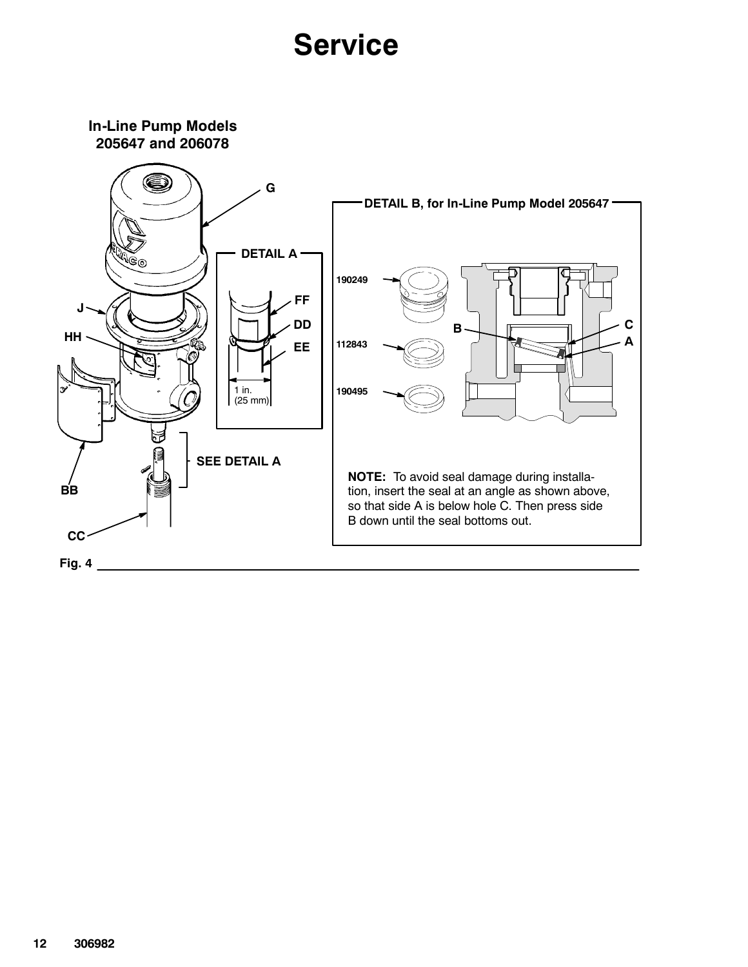In-Line Pump Models 205647 and 206078

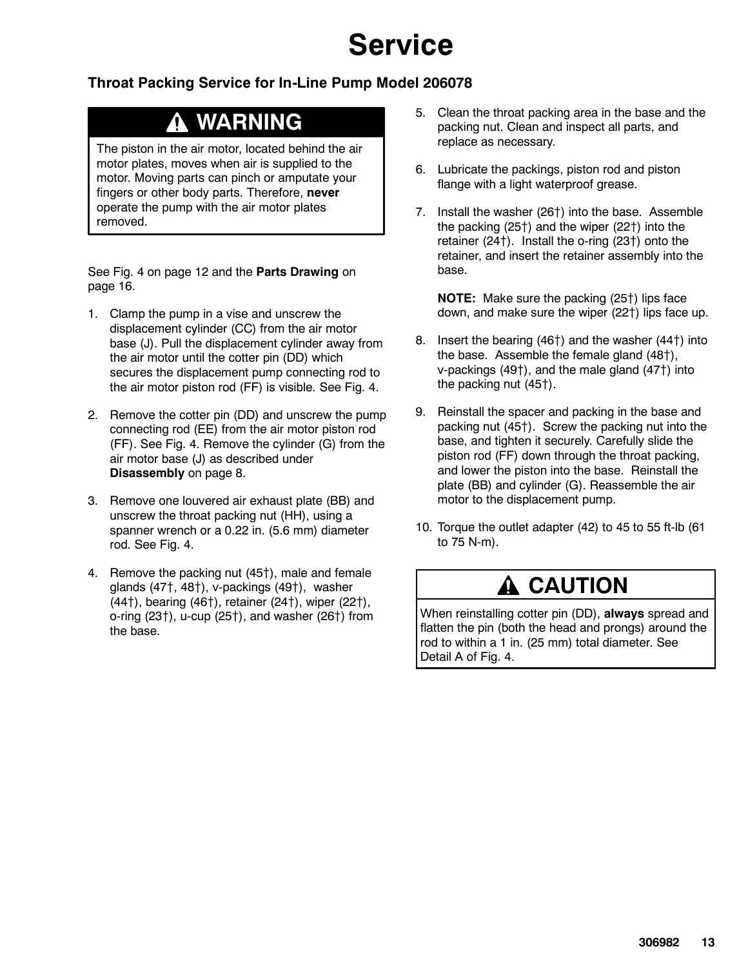#### Throat Packing Service for In-Line Pump Model 206078

### WARNING

The piston in the air motor, located behind the air motor plates, moves when air is supplied to the motor. Moving parts can pinch or amputate your fingers or other body parts. Therefore, never operate the pump with the air motor plates removed.

See Fig. 4 on page 12 and the Parts Drawing on page 16.

- 1. Clamp the pump in a vise and unscrew the displacement cylinder (CC) from the air motor base (J). Pull the displacement cylinder away from the air motor until the cotter pin (DD) which secures the displacement pump connecting rod to the air motor piston rod (FF) is visible. See Fig. 4.
- 2. Remove the cotter pin (DD) and unscrew the pump connecting rod (EE) from the air motor piston rod (FF). See Fig. 4. Remove the cylinder (G) from the air motor base (J) as described under Disassembly on page 8.
- 3. Remove one louvered air exhaust plate (BB) and unscrew the throat packing nut (HH), using a spanner wrench or a 0.22 in. (5.6 mm) diameter rod. See Fig. 4.
- 4. Remove the packing nut (45<sup>†</sup>), male and female glands  $(47<sup>+</sup>, 48<sup>+</sup>)$ , v-packings  $(49<sup>+</sup>)$ , washer  $(44)$ , bearing  $(46)$ , retainer  $(24)$ , wiper  $(22)$ , o-ring  $(23)$ , u-cup  $(25)$ , and washer  $(26)$  from the base.
- 5. Clean the throat packing area in the base and the packing nut. Clean and inspect all parts, and replace as necessary.
- 6. Lubricate the packings, piston rod and piston flange with a light waterproof grease.
- 7. Install the washer  $(26<sup>+</sup>)$  into the base. Assemble the packing  $(25<sup>+</sup>)$  and the wiper  $(22<sup>+</sup>)$  into the retainer  $(24<sup>†</sup>)$ . Install the o-ring  $(23<sup>†</sup>)$  onto the retainer, and insert the retainer assembly into the base.

NOTE: Make sure the packing (25<sup>†</sup>) lips face down, and make sure the wiper  $(22<sup>+</sup>)$  lips face up.

- 8. Insert the bearing  $(46<sup>†</sup>)$  and the washer  $(44<sup>†</sup>)$  into the base. Assemble the female gland  $(48<sup>†</sup>)$ , v-packings  $(49<sup>+</sup>)$ , and the male gland  $(47<sup>+</sup>)$  into the packing nut  $(45<sup>†</sup>)$ .
- 9. Reinstall the spacer and packing in the base and packing nut  $(45<sup>+</sup>)$ . Screw the packing nut into the base, and tighten it securely. Carefully slide the piston rod (FF) down through the throat packing, and lower the piston into the base. Reinstall the plate (BB) and cylinder (G). Reassemble the air motor to the displacement pump.
- 10. Torque the outlet adapter (42) to 45 to 55 ft-lb (61 to 75 N-m).

### **A CAUTION**

When reinstalling cotter pin (DD), always spread and flatten the pin (both the head and prongs) around the rod to within a 1 in. (25 mm) total diameter. See Detail A of Fig. 4.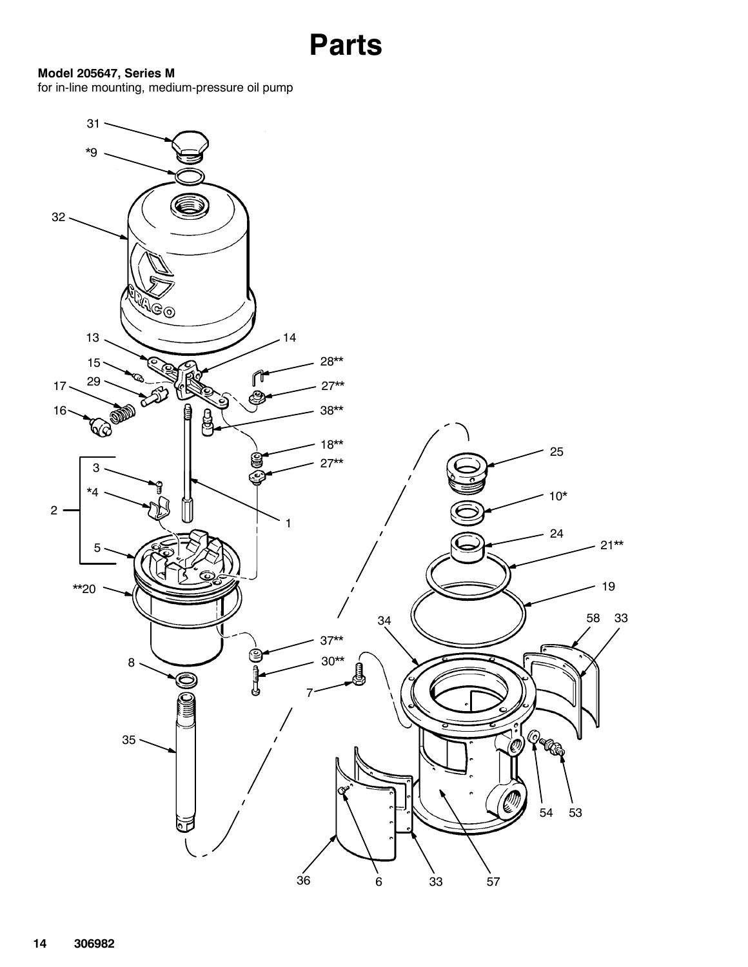```
Parts
```
#### Model 205647, Series M

for in-line mounting, medium-pressure oil pump

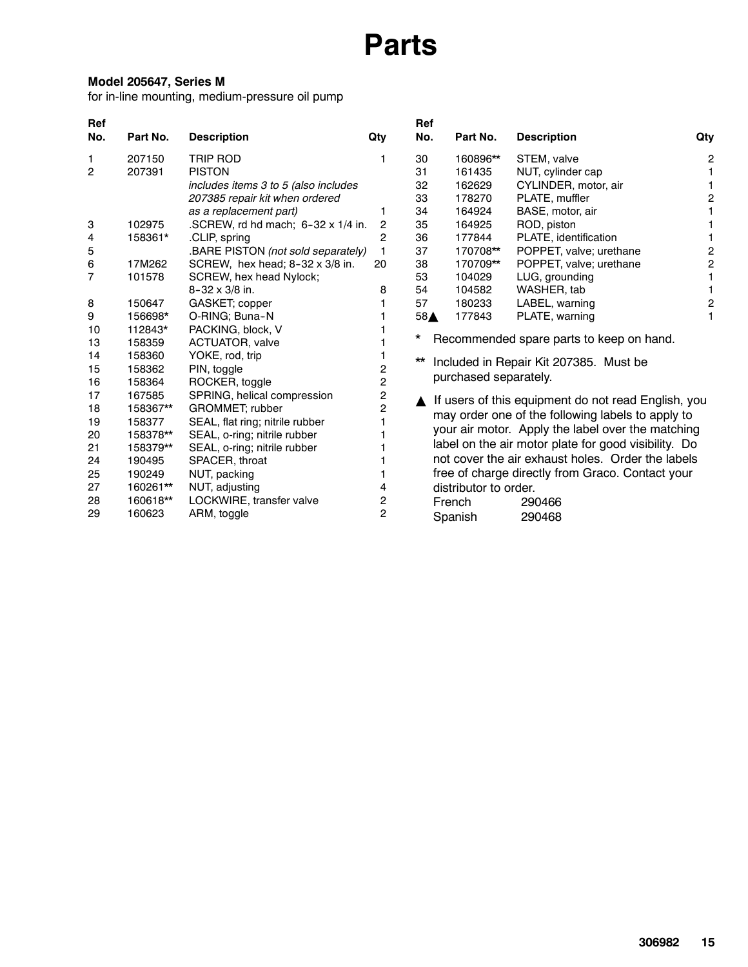#### Model 205647, Series M

for in-line mounting, medium-pressure oil pump

| Ref<br>No.     | Part No. | <b>Description</b>                        | Qty            | Ref<br>No. | Part No.              | <b>Description</b>                                   | Qty |
|----------------|----------|-------------------------------------------|----------------|------------|-----------------------|------------------------------------------------------|-----|
| 1              | 207150   | <b>TRIP ROD</b>                           |                | 30         | 160896**              | STEM, valve                                          | 2   |
| $\overline{2}$ | 207391   | <b>PISTON</b>                             |                | 31         | 161435                | NUT, cylinder cap                                    |     |
|                |          | includes items 3 to 5 (also includes      |                | 32         | 162629                | CYLINDER, motor, air                                 |     |
|                |          | 207385 repair kit when ordered            |                | 33         | 178270                | PLATE, muffler                                       | 2   |
|                |          | as a replacement part)                    |                | 34         | 164924                | BASE, motor, air                                     |     |
| 3              | 102975   | .SCREW, rd hd mach; $6-32 \times 1/4$ in. | $\overline{2}$ | 35         | 164925                | ROD, piston                                          |     |
| 4              | 158361*  | .CLIP, spring                             | $\overline{2}$ | 36         | 177844                | PLATE, identification                                |     |
| 5              |          | BARE PISTON (not sold separately)         | 1              | 37         | 170708**              | POPPET, valve; urethane                              | 2   |
| 6              | 17M262   | SCREW, hex head; 8-32 x 3/8 in.           | 20             | 38         | 170709**              | POPPET, valve; urethane                              | 2   |
| 7              | 101578   | SCREW, hex head Nylock;                   |                | 53         | 104029                | LUG, grounding                                       |     |
|                |          | $8 - 32 \times 3/8$ in.                   | 8              | 54         | 104582                | WASHER, tab                                          |     |
| 8              | 150647   | GASKET; copper                            |                | 57         | 180233                | LABEL, warning                                       | 2   |
| 9              | 156698*  | O-RING; Buna-N                            |                | 58▲        | 177843                | PLATE, warning                                       |     |
| 10             | 112843*  | PACKING, block, V                         |                | *          |                       |                                                      |     |
| 13             | 158359   | ACTUATOR, valve                           |                |            |                       | Recommended spare parts to keep on hand.             |     |
| 14             | 158360   | YOKE, rod, trip                           |                | **         |                       | Included in Repair Kit 207385. Must be               |     |
| 15             | 158362   | PIN, toggle                               | 2              |            |                       |                                                      |     |
| 16             | 158364   | ROCKER, toggle                            | $\overline{c}$ |            | purchased separately. |                                                      |     |
| 17             | 167585   | SPRING, helical compression               | 2              |            |                       | If users of this equipment do not read English, you  |     |
| 18             | 158367** | <b>GROMMET</b> ; rubber                   | 2              |            |                       | may order one of the following labels to apply to    |     |
| 19             | 158377   | SEAL, flat ring; nitrile rubber           |                |            |                       |                                                      |     |
| 20             | 158378** | SEAL, o-ring; nitrile rubber              |                |            |                       | your air motor. Apply the label over the matching    |     |
| 21             | 158379** | SEAL, o-ring; nitrile rubber              |                |            |                       | label on the air motor plate for good visibility. Do |     |
| 24             | 190495   | SPACER, throat                            |                |            |                       | not cover the air exhaust holes. Order the labels    |     |
| 25             | 190249   | NUT, packing                              |                |            |                       | free of charge directly from Graco. Contact your     |     |
| 27             | 160261** | NUT, adjusting                            | 4              |            | distributor to order. |                                                      |     |
| 28             | 160618** | LOCKWIRE, transfer valve                  | 2              |            | French                | 290466                                               |     |
| 29             | 160623   | ARM, toggle                               | $\overline{2}$ |            | Spanish               | 290468                                               |     |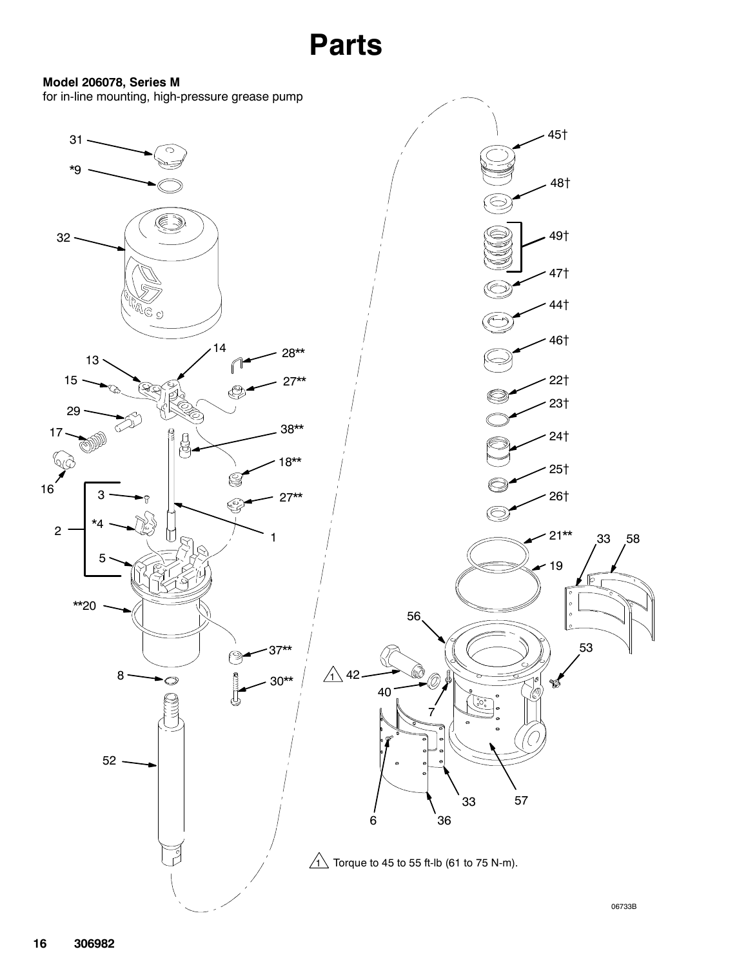#### Model 206078, Series M

for in-line mounting, high-pressure grease pump

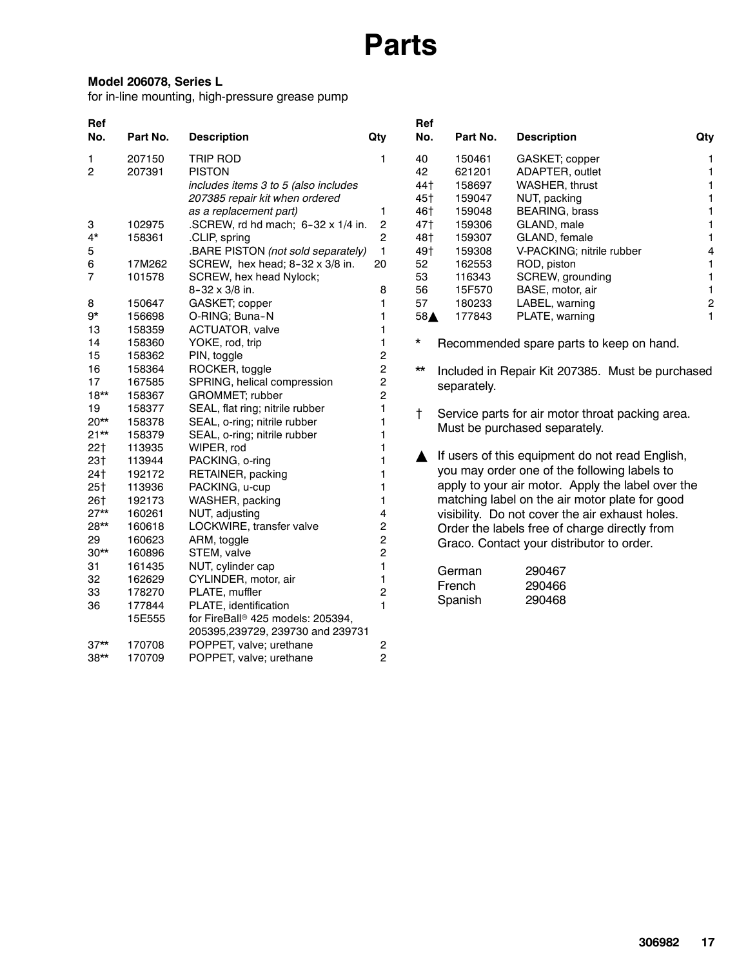#### Model 206078, Series L

for in-line mounting, high-pressure grease pump

| Ref             |          |                                               |                         | Ref          |             |                                                   |                         |
|-----------------|----------|-----------------------------------------------|-------------------------|--------------|-------------|---------------------------------------------------|-------------------------|
| No.             | Part No. | <b>Description</b>                            | Qty                     | No.          | Part No.    | <b>Description</b>                                | Qty                     |
| 1               | 207150   | <b>TRIP ROD</b>                               | 1                       | 40           | 150461      | GASKET; copper                                    | 1                       |
| 2               | 207391   | <b>PISTON</b>                                 |                         | 42           | 621201      | ADAPTER, outlet                                   | 1                       |
|                 |          | includes items 3 to 5 (also includes          |                         | 44†          | 158697      | WASHER, thrust                                    | $\mathbf{1}$            |
|                 |          | 207385 repair kit when ordered                |                         | 45†          | 159047      | NUT, packing                                      | 1                       |
|                 |          | as a replacement part)                        | 1                       | 46†          | 159048      | BEARING, brass                                    | 1                       |
| 3               | 102975   | .SCREW, rd hd mach; $6-32 \times 1/4$ in.     | $\overline{\mathbf{c}}$ | 47†          | 159306      | GLAND, male                                       | 1                       |
| $4*$            | 158361   | .CLIP, spring                                 | 2                       | 48†          | 159307      | GLAND, female                                     | 1                       |
| 5               |          | .BARE PISTON (not sold separately)            | 1                       | 49†          | 159308      | V-PACKING; nitrile rubber                         | 4                       |
| 6               | 17M262   | SCREW, hex head; 8-32 x 3/8 in.               | 20                      | 52           | 162553      | ROD, piston                                       | 1                       |
| 7               | 101578   | SCREW, hex head Nylock;                       |                         | 53           | 116343      | SCREW, grounding                                  | 1                       |
|                 |          | 8-32 x 3/8 in.                                | 8                       | 56           | 15F570      | BASE, motor, air                                  | 1                       |
| 8               | 150647   | GASKET; copper                                | 1                       | 57           | 180233      | LABEL, warning                                    | $\overline{\mathbf{c}}$ |
| $9*$            | 156698   | O-RING; Buna-N                                | 1                       | 58▲          | 177843      | PLATE, warning                                    | $\mathbf{1}$            |
| 13              | 158359   | ACTUATOR, valve                               | 1                       |              |             |                                                   |                         |
| 14              | 158360   | YOKE, rod, trip                               | 1                       | *            |             | Recommended spare parts to keep on hand.          |                         |
| 15              | 158362   | PIN, toggle                                   | $\overline{\mathbf{c}}$ |              |             |                                                   |                         |
| 16              | 158364   | ROCKER, toggle                                | $\overline{c}$          | $\star\star$ |             | Included in Repair Kit 207385. Must be purchased  |                         |
| 17              | 167585   | SPRING, helical compression                   | 2                       |              | separately. |                                                   |                         |
| $18**$          | 158367   | GROMMET; rubber                               | $\overline{c}$          |              |             |                                                   |                         |
| 19              | 158377   | SEAL, flat ring; nitrile rubber               | 1                       | Ť            |             | Service parts for air motor throat packing area.  |                         |
| $20**$          | 158378   | SEAL, o-ring; nitrile rubber                  | 1                       |              |             | Must be purchased separately.                     |                         |
| $21**$          | 158379   | SEAL, o-ring; nitrile rubber                  | 1                       |              |             |                                                   |                         |
| 22 <sub>†</sub> | 113935   | WIPER, rod                                    |                         |              |             |                                                   |                         |
| 23 <sup>†</sup> | 113944   | PACKING, o-ring                               | 1                       |              |             | If users of this equipment do not read English,   |                         |
| 24†             | 192172   | RETAINER, packing                             | 1                       |              |             | you may order one of the following labels to      |                         |
| $25+$           | 113936   | PACKING, u-cup                                | 1                       |              |             | apply to your air motor. Apply the label over the |                         |
| 26†             | 192173   | WASHER, packing                               | 1                       |              |             | matching label on the air motor plate for good    |                         |
| $27**$          | 160261   | NUT, adjusting                                | 4                       |              |             | visibility. Do not cover the air exhaust holes.   |                         |
| 28**            | 160618   | LOCKWIRE, transfer valve                      | $\overline{\mathbf{c}}$ |              |             | Order the labels free of charge directly from     |                         |
| 29              | 160623   | ARM, toggle                                   | $\overline{c}$          |              |             | Graco. Contact your distributor to order.         |                         |
| $30**$          | 160896   | STEM, valve                                   | $\overline{2}$          |              |             |                                                   |                         |
| 31              | 161435   | NUT, cylinder cap                             | $\mathbf{1}$            |              | German      | 290467                                            |                         |
| 32              | 162629   | CYLINDER, motor, air                          | 1                       |              | French      | 290466                                            |                         |
| 33              | 178270   | PLATE, muffler                                | $\overline{\mathbf{c}}$ |              |             |                                                   |                         |
| 36              | 177844   | PLATE, identification                         | Spanish<br>$\mathbf 1$  |              |             | 290468                                            |                         |
|                 | 15E555   | for FireBall <sup>®</sup> 425 models: 205394, |                         |              |             |                                                   |                         |
|                 |          | 205395,239729, 239730 and 239731              |                         |              |             |                                                   |                         |
| $37**$          | 170708   | POPPET, valve; urethane                       | 2                       |              |             |                                                   |                         |
| $38**$          | 170709   | POPPET, valve; urethane                       | $\overline{2}$          |              |             |                                                   |                         |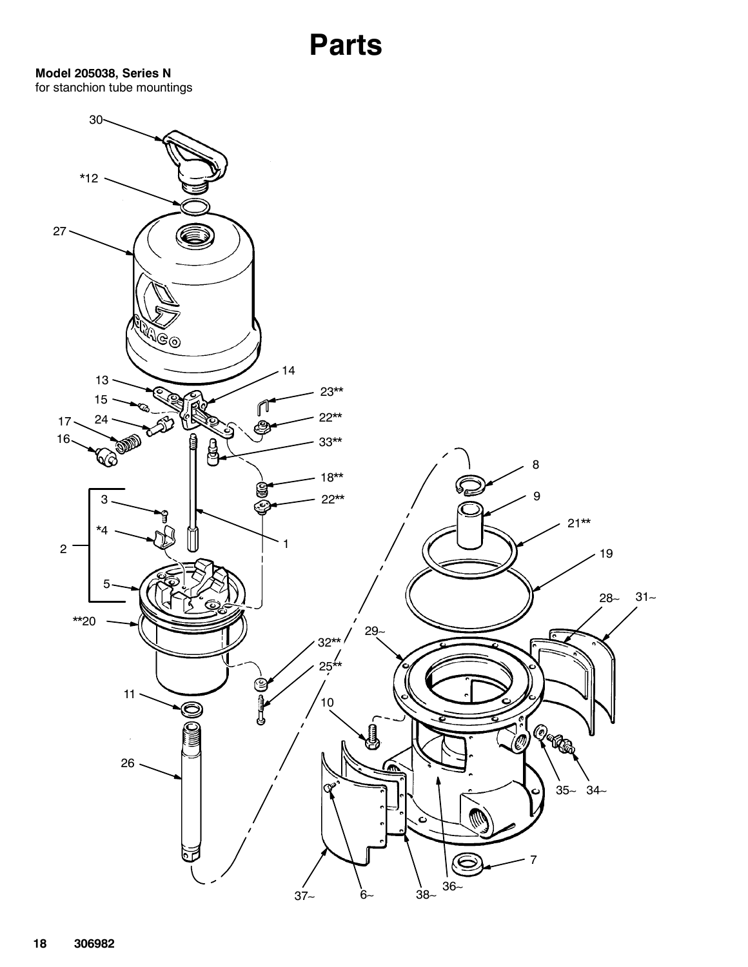Model 205038, Series N for stanchion tube mountings

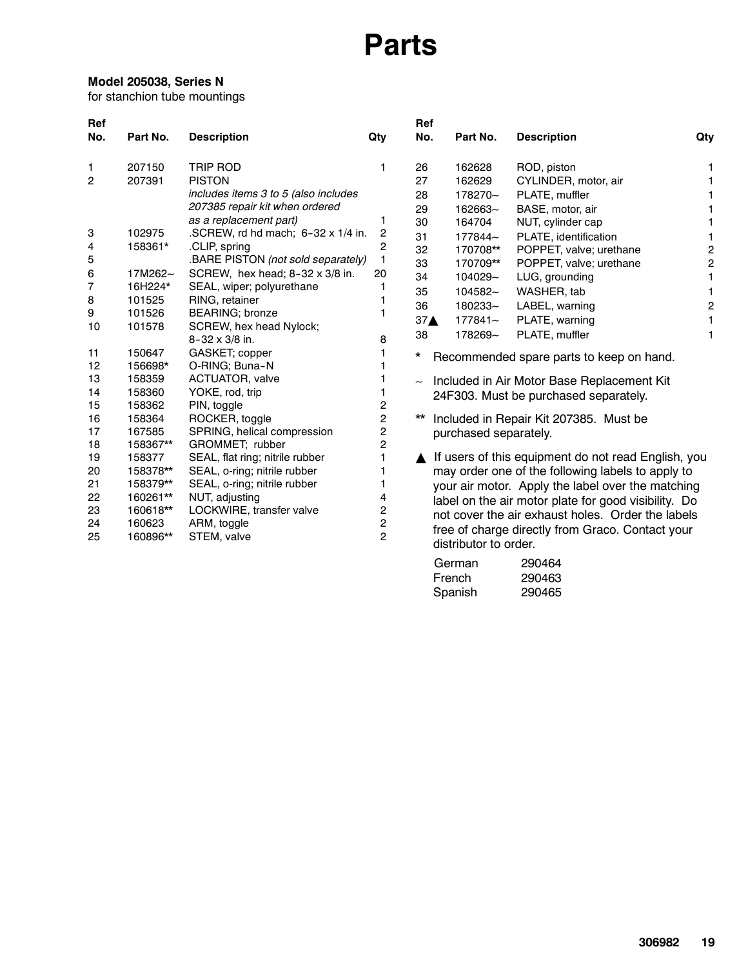#### Model 205038, Series N

for stanchion tube mountings

| Ref<br>No.                                                                                                                    | Part No.                                                                                                                                                                                                                               | <b>Description</b>                                                                                                                                                                                                                                                                                                                                                                                                                                                                                                                                                                                                                                                                                                 | Qty                                                                                                   | Ref<br>No.                                                                                                                | Part No.                                                                                                                                                               | <b>Description</b>                                                                                                                                                                                                                                                                                                                                                                                                                                                                                                                                                                                                                                                                                                              | Qty                                                                                           |
|-------------------------------------------------------------------------------------------------------------------------------|----------------------------------------------------------------------------------------------------------------------------------------------------------------------------------------------------------------------------------------|--------------------------------------------------------------------------------------------------------------------------------------------------------------------------------------------------------------------------------------------------------------------------------------------------------------------------------------------------------------------------------------------------------------------------------------------------------------------------------------------------------------------------------------------------------------------------------------------------------------------------------------------------------------------------------------------------------------------|-------------------------------------------------------------------------------------------------------|---------------------------------------------------------------------------------------------------------------------------|------------------------------------------------------------------------------------------------------------------------------------------------------------------------|---------------------------------------------------------------------------------------------------------------------------------------------------------------------------------------------------------------------------------------------------------------------------------------------------------------------------------------------------------------------------------------------------------------------------------------------------------------------------------------------------------------------------------------------------------------------------------------------------------------------------------------------------------------------------------------------------------------------------------|-----------------------------------------------------------------------------------------------|
| 1<br>2<br>3<br>4<br>5<br>6<br>7<br>8<br>9<br>10<br>11<br>12<br>13<br>14<br>15<br>16<br>17<br>18<br>19<br>20<br>21<br>22<br>23 | 207150<br>207391<br>102975<br>158361*<br>17M262~<br>16H224*<br>101525<br>101526<br>101578<br>150647<br>156698*<br>158359<br>158360<br>158362<br>158364<br>167585<br>158367**<br>158377<br>158378**<br>158379**<br>160261**<br>160618** | <b>TRIP ROD</b><br><b>PISTON</b><br>includes items 3 to 5 (also includes<br>207385 repair kit when ordered<br>as a replacement part)<br>.SCREW, rd hd mach; 6-32 x 1/4 in.<br>.CLIP, spring<br>.BARE PISTON (not sold separately)<br>SCREW, hex head; 8-32 x 3/8 in.<br>SEAL, wiper; polyurethane<br>RING, retainer<br><b>BEARING</b> ; bronze<br>SCREW, hex head Nylock;<br>$8 - 32 \times 3/8$ in.<br>GASKET; copper<br>O-RING; Buna-N<br>ACTUATOR, valve<br>YOKE, rod, trip<br>PIN, toggle<br>ROCKER, toggle<br>SPRING, helical compression<br>GROMMET; rubber<br>SEAL, flat ring; nitrile rubber<br>SEAL, o-ring; nitrile rubber<br>SEAL, o-ring; nitrile rubber<br>NUT, adjusting<br>LOCKWIRE, transfer valve | 1<br>1<br>2<br>2<br>$\mathbf{1}$<br>20<br>1<br>8<br>2<br>$\overline{c}$<br>2<br>2<br>1<br>1<br>4<br>2 | 26<br>27<br>28<br>29<br>30<br>31<br>32<br>33<br>34<br>35<br>36<br>37 <sub>A</sub><br>38<br>*<br>$\widetilde{\phantom{m}}$ | 162628<br>162629<br>178270~<br>162663~<br>164704<br>177844~<br>170708**<br>170709**<br>104029~<br>104582~<br>180233~<br>$177841 -$<br>178269~<br>purchased separately. | ROD, piston<br>CYLINDER, motor, air<br>PLATE, muffler<br>BASE, motor, air<br>NUT, cylinder cap<br>PLATE, identification<br>POPPET, valve; urethane<br>POPPET, valve; urethane<br>LUG, grounding<br>WASHER, tab<br>LABEL, warning<br>PLATE, warning<br>PLATE, muffler<br>Recommended spare parts to keep on hand.<br>Included in Air Motor Base Replacement Kit<br>24F303. Must be purchased separately.<br>Included in Repair Kit 207385. Must be<br>If users of this equipment do not read English, you<br>may order one of the following labels to apply to<br>your air motor. Apply the label over the matching<br>label on the air motor plate for good visibility. Do<br>not cover the air exhaust holes. Order the labels | 1<br>1<br>1<br>1<br>$\mathbf{1}$<br>1<br>$\overline{c}$<br>$\overline{c}$<br>1<br>1<br>2<br>1 |
| 24<br>25                                                                                                                      | 160623<br>160896**                                                                                                                                                                                                                     | ARM, toggle<br>STEM, valve                                                                                                                                                                                                                                                                                                                                                                                                                                                                                                                                                                                                                                                                                         | 2<br>$\overline{2}$                                                                                   |                                                                                                                           | distributor to order.<br>German<br>French                                                                                                                              | free of charge directly from Graco. Contact your<br>290464<br>290463                                                                                                                                                                                                                                                                                                                                                                                                                                                                                                                                                                                                                                                            |                                                                                               |

Spanish 290465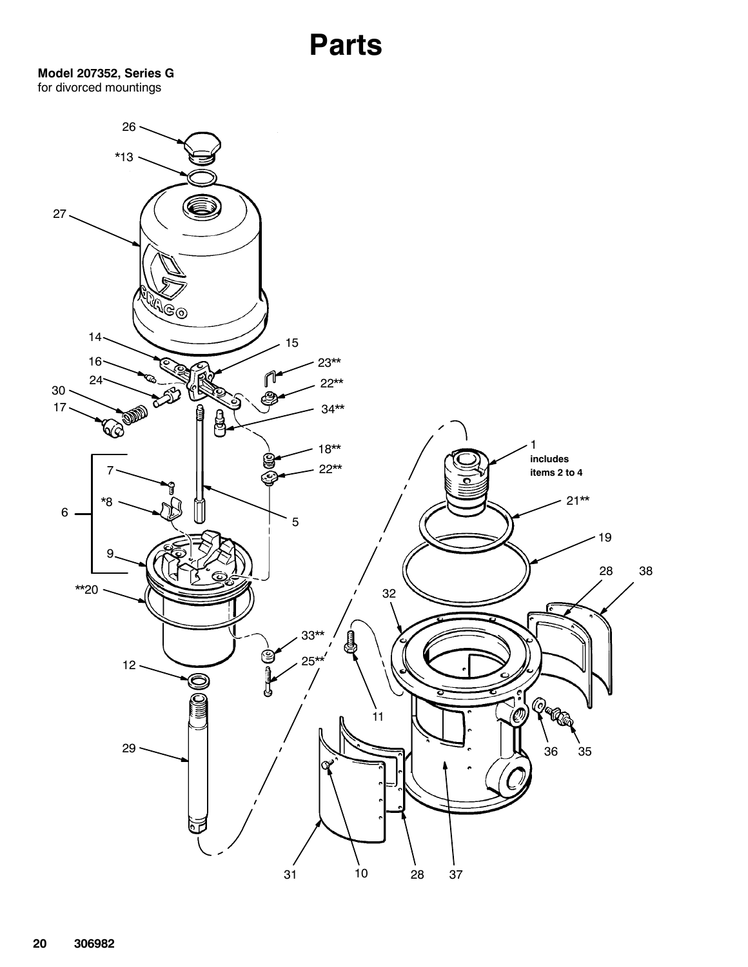Model 207352, Series G for divorced mountings

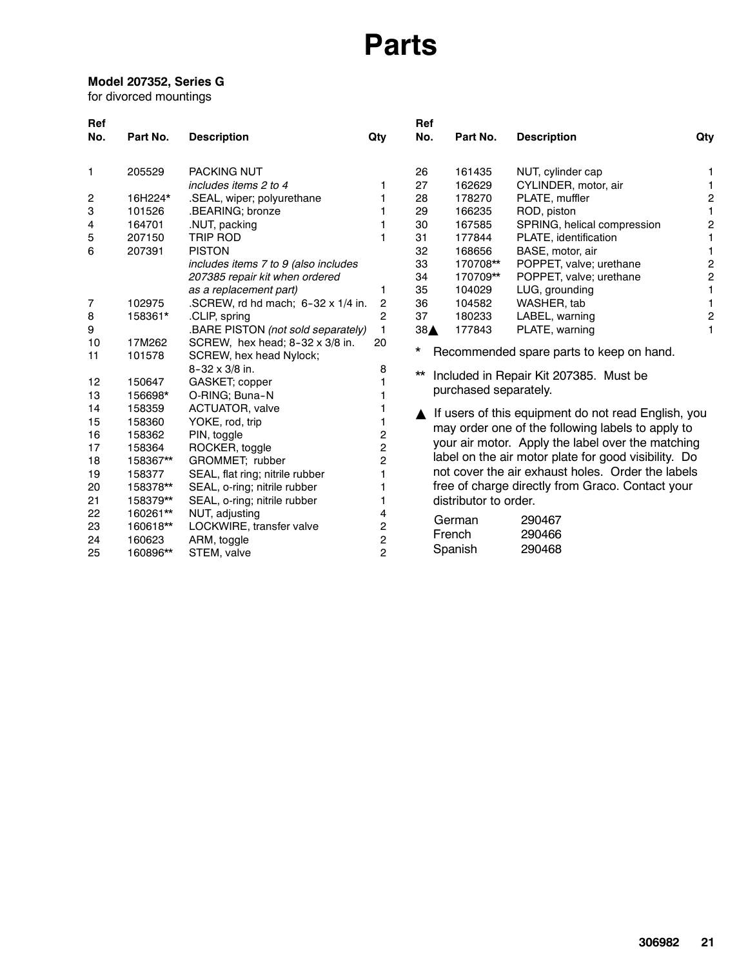#### Model 207352, Series G

for divorced mountings

| Ref      |                  |                                                                   |                | Ref          |                       |                                                      |                |
|----------|------------------|-------------------------------------------------------------------|----------------|--------------|-----------------------|------------------------------------------------------|----------------|
| No.      | Part No.         | <b>Description</b>                                                | Qty            | No.          | Part No.              | <b>Description</b>                                   | Qty            |
| 1        | 205529           | <b>PACKING NUT</b>                                                |                | 26           | 161435                | NUT, cylinder cap                                    | 1              |
|          |                  | includes items 2 to 4                                             | 1              | 27           | 162629                | CYLINDER, motor, air                                 |                |
| 2        | 16H224*          | .SEAL, wiper; polyurethane                                        |                | 28           | 178270                | PLATE, muffler                                       | 2              |
| 3        | 101526           | .BEARING; bronze                                                  |                | 29           | 166235                | ROD, piston                                          |                |
| 4        | 164701           | .NUT, packing                                                     |                | 30           | 167585                | SPRING, helical compression                          | $\overline{2}$ |
| 5        | 207150           | <b>TRIP ROD</b>                                                   |                | 31           | 177844                | PLATE, identification                                |                |
| 6        | 207391           | <b>PISTON</b>                                                     |                | 32           | 168656                | BASE, motor, air                                     |                |
|          |                  | includes items 7 to 9 (also includes                              |                | 33           | 170708**              | POPPET, valve; urethane                              | 2              |
|          |                  | 207385 repair kit when ordered                                    |                | 34           | 170709**              | POPPET, valve; urethane                              | 2              |
|          |                  | as a replacement part)                                            | 1              | 35           | 104029                | LUG, grounding                                       |                |
| 7        | 102975           | .SCREW, rd hd mach; $6-32 \times 1/4$ in.                         | 2              | 36           | 104582                | WASHER, tab                                          |                |
| 8        | 158361*          | .CLIP, spring                                                     | $\mathbf{2}$   | 37           | 180233                | LABEL, warning                                       | 2              |
| 9        |                  | .BARE PISTON (not sold separately)                                | 1              | 38▲          | 177843                | PLATE, warning                                       | 1              |
| 10<br>11 | 17M262<br>101578 | SCREW, hex head; $8-32 \times 3/8$ in.<br>SCREW, hex head Nylock; | 20             | *            |                       | Recommended spare parts to keep on hand.             |                |
|          |                  | 8-32 x 3/8 in.                                                    | 8              | $\star\star$ |                       | Included in Repair Kit 207385. Must be               |                |
| 12       | 150647           | GASKET; copper                                                    |                |              |                       |                                                      |                |
| 13       | 156698*          | O-RING; Buna-N                                                    |                |              | purchased separately. |                                                      |                |
| 14       | 158359           | ACTUATOR, valve                                                   |                |              |                       | If users of this equipment do not read English, you  |                |
| 15       | 158360           | YOKE, rod, trip                                                   |                |              |                       | may order one of the following labels to apply to    |                |
| 16       | 158362           | PIN, toggle                                                       | 2              |              |                       | your air motor. Apply the label over the matching    |                |
| 17       | 158364           | ROCKER, toggle                                                    | 2              |              |                       |                                                      |                |
| 18       | 158367**         | GROMMET; rubber                                                   | $\overline{2}$ |              |                       | label on the air motor plate for good visibility. Do |                |
| 19       | 158377           | SEAL, flat ring; nitrile rubber                                   |                |              |                       | not cover the air exhaust holes. Order the labels    |                |
| 20       | 158378**         | SEAL, o-ring; nitrile rubber                                      |                |              |                       | free of charge directly from Graco. Contact your     |                |
| 21       | 158379**         | SEAL, o-ring; nitrile rubber                                      |                |              | distributor to order. |                                                      |                |
| 22       | 160261**         | NUT, adjusting                                                    | 4              |              | German                | 290467                                               |                |
| 23       | 160618**         | LOCKWIRE, transfer valve                                          | 2              |              | French                | 290466                                               |                |
| 24       | 160623           | ARM, toggle                                                       | $\overline{c}$ |              |                       |                                                      |                |
| 25       | 160896**         | STEM, valve                                                       | $\overline{2}$ |              | Spanish               | 290468                                               |                |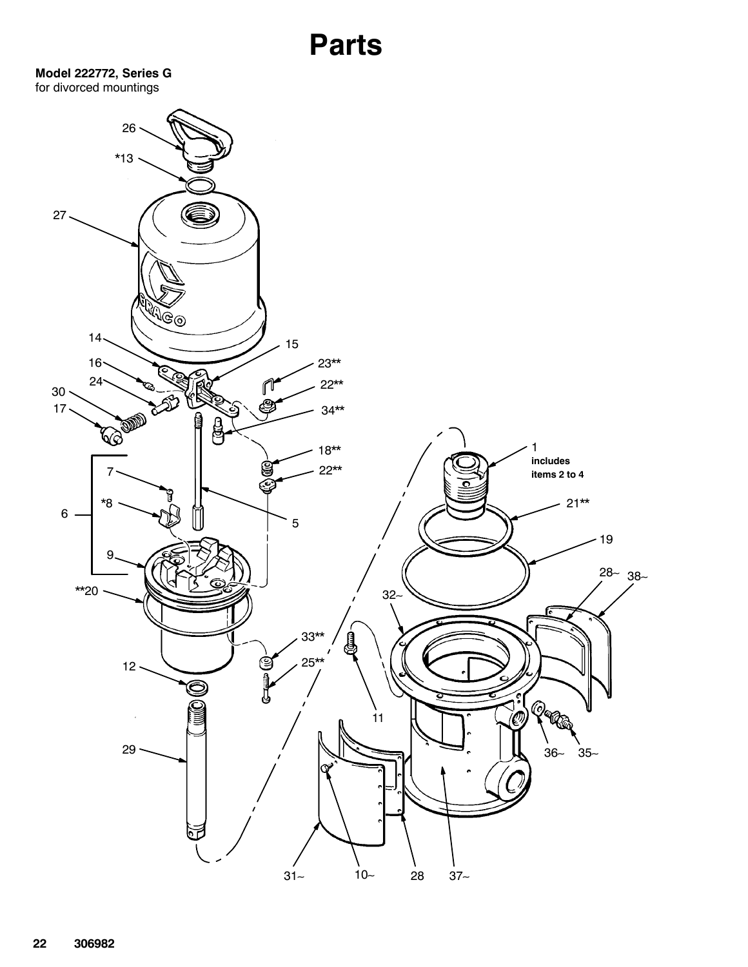Model 222772, Series G for divorced mountings

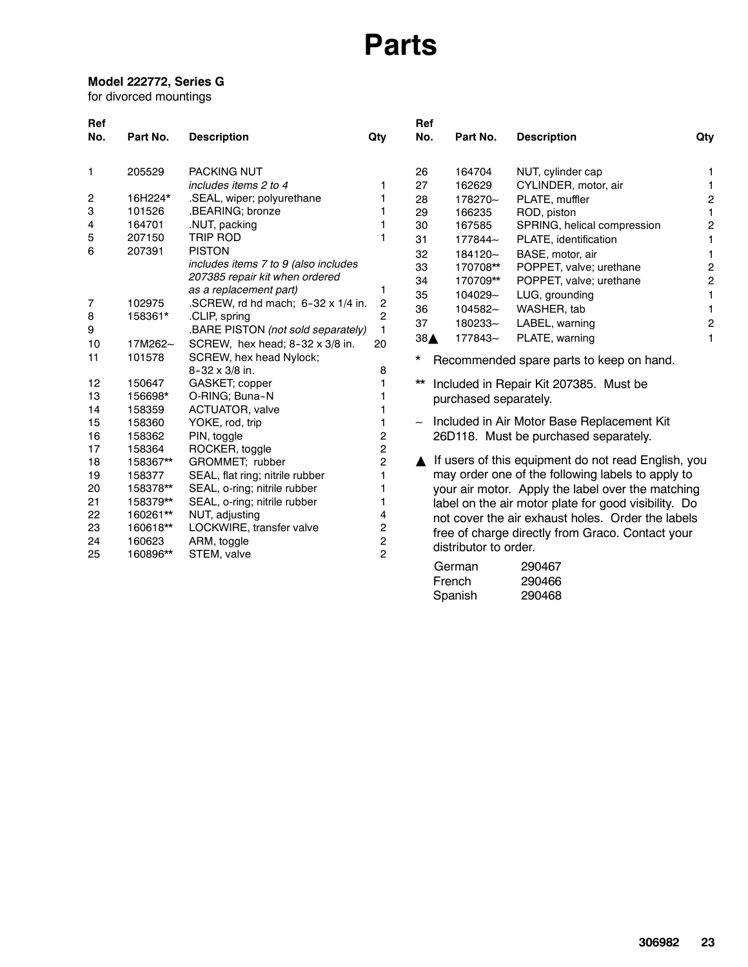#### Model 222772, Series G

for divorced mountings

| Ref            |          |                                           |                         | Ref                       |                       |                                                      |                         |
|----------------|----------|-------------------------------------------|-------------------------|---------------------------|-----------------------|------------------------------------------------------|-------------------------|
| No.            | Part No. | <b>Description</b>                        | Qty                     | No.                       | Part No.              | <b>Description</b>                                   | Qty                     |
| 1              | 205529   | <b>PACKING NUT</b>                        |                         | 26                        | 164704                | NUT, cylinder cap                                    | 1                       |
|                |          | includes items 2 to 4                     | 1                       | 27                        | 162629                | CYLINDER, motor, air                                 | 1                       |
| 2              | 16H224*  | .SEAL, wiper; polyurethane                |                         | 28                        | 178270~               | PLATE, muffler                                       | $\overline{\mathbf{c}}$ |
| 3              | 101526   | .BEARING; bronze                          |                         | 29                        | 166235                | ROD, piston                                          | 1                       |
| 4              | 164701   | .NUT, packing                             |                         | 30                        | 167585                | SPRING, helical compression                          | $\mathbf 2$             |
| 5              | 207150   | <b>TRIP ROD</b>                           |                         | 31                        | 177844~               | PLATE, identification                                | 1                       |
| 6              | 207391   | <b>PISTON</b>                             |                         | 32                        | 184120~               | BASE, motor, air                                     | 1                       |
|                |          | includes items 7 to 9 (also includes      |                         | 33                        | 170708**              | POPPET, valve; urethane                              | $\overline{c}$          |
|                |          | 207385 repair kit when ordered            |                         | 34                        | 170709**              | POPPET, valve; urethane                              | $\overline{c}$          |
|                |          | as a replacement part)                    | 1                       | 35                        | 104029~               | LUG, grounding                                       | 1                       |
| $\overline{7}$ | 102975   | .SCREW, rd hd mach; $6-32 \times 1/4$ in. | 2                       | 36                        | 104582~               | WASHER, tab                                          | 1                       |
| 8              | 158361*  | .CLIP, spring                             | 2                       | 37                        | 180233~               | LABEL, warning                                       | $\overline{\mathbf{c}}$ |
| 9              |          | .BARE PISTON (not sold separately)        | 1                       | 38A                       | 177843~               | PLATE, warning                                       | 1                       |
| 10             | 17M262~  | SCREW, hex head; 8-32 x 3/8 in.           | 20                      |                           |                       |                                                      |                         |
| 11             | 101578   | SCREW, hex head Nylock;                   |                         | $^\star$                  |                       | Recommended spare parts to keep on hand.             |                         |
|                |          | 8-32 x 3/8 in.                            | 8                       |                           |                       |                                                      |                         |
| 12             | 150647   | GASKET; copper                            |                         | $\star\star$              |                       | Included in Repair Kit 207385. Must be               |                         |
| 13             | 156698*  | O-RING; Buna-N                            |                         |                           | purchased separately. |                                                      |                         |
| 14             | 158359   | ACTUATOR, valve                           |                         |                           |                       |                                                      |                         |
| 15             | 158360   | YOKE, rod, trip                           | 1                       | $\widetilde{\phantom{m}}$ |                       | Included in Air Motor Base Replacement Kit           |                         |
| 16             | 158362   | PIN, toggle                               | $\overline{\mathbf{c}}$ |                           |                       | 26D118. Must be purchased separately.                |                         |
| 17             | 158364   | ROCKER, toggle                            | $\overline{c}$          |                           |                       |                                                      |                         |
| 18             | 158367** | GROMMET; rubber                           | $\overline{c}$          |                           |                       | If users of this equipment do not read English, you  |                         |
| 19             | 158377   | SEAL, flat ring; nitrile rubber           | 1                       |                           |                       | may order one of the following labels to apply to    |                         |
| 20             | 158378** | SEAL, o-ring; nitrile rubber              | 1                       |                           |                       | your air motor. Apply the label over the matching    |                         |
| 21             | 158379** | SEAL, o-ring; nitrile rubber              | 1                       |                           |                       | label on the air motor plate for good visibility. Do |                         |
| 22             | 160261** | NUT, adjusting                            | 4                       |                           |                       | not cover the air exhaust holes. Order the labels    |                         |
| 23             | 160618** | LOCKWIRE, transfer valve                  | 2                       |                           |                       | free of charge directly from Graco. Contact your     |                         |
| 24             | 160623   | ARM, toggle                               | $\overline{\mathbf{c}}$ |                           | distributor to order. |                                                      |                         |
| 25             | 160896** | STEM, valve                               | $\overline{2}$          |                           |                       |                                                      |                         |
|                |          |                                           |                         |                           | German                | 290467                                               |                         |
|                |          |                                           |                         |                           | French                | 290466                                               |                         |
|                |          |                                           |                         |                           | Spanish               | 290468                                               |                         |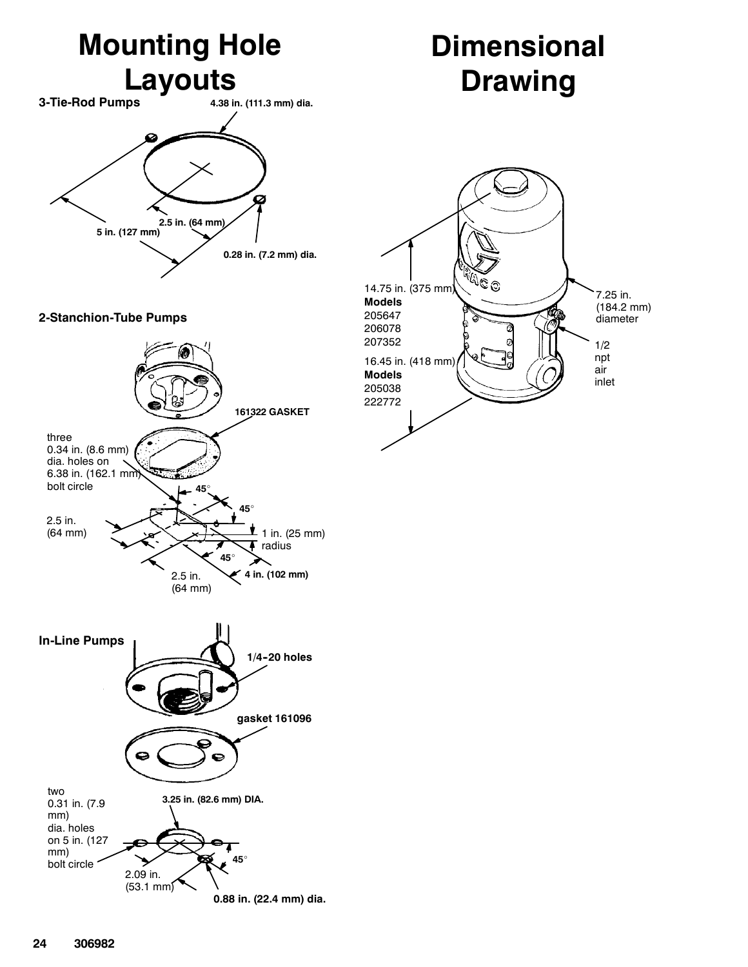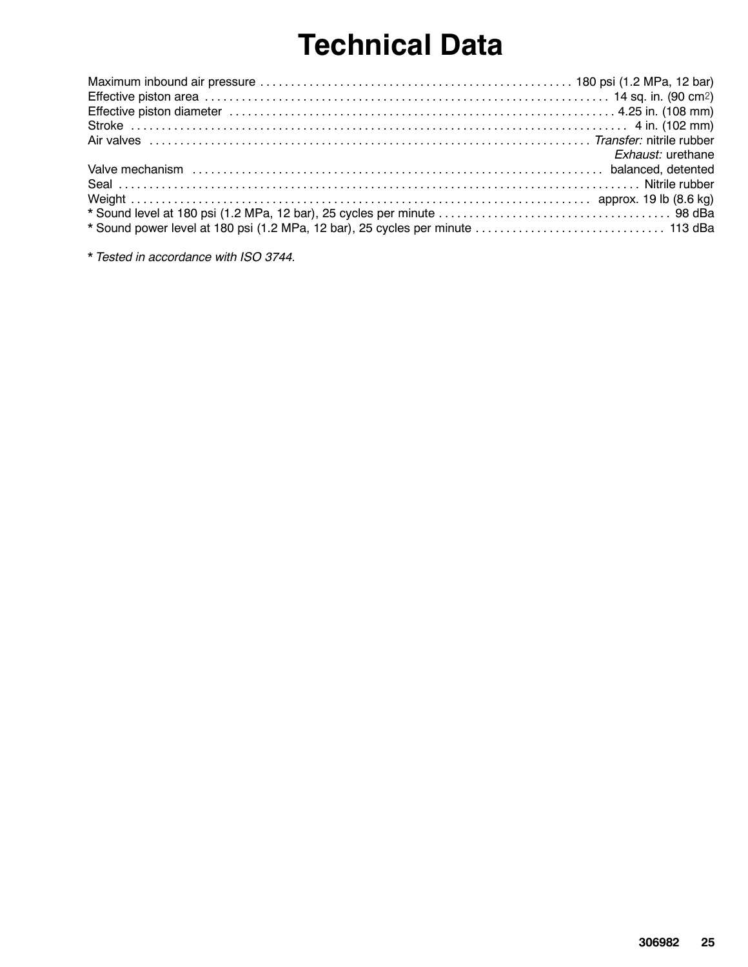## Technical Data

|                                                                                 | Exhaust: urethane |
|---------------------------------------------------------------------------------|-------------------|
|                                                                                 |                   |
|                                                                                 |                   |
|                                                                                 |                   |
|                                                                                 |                   |
| * Sound power level at 180 psi (1.2 MPa, 12 bar), 25 cycles per minute  113 dBa |                   |

\* Tested in accordance with ISO 3744.